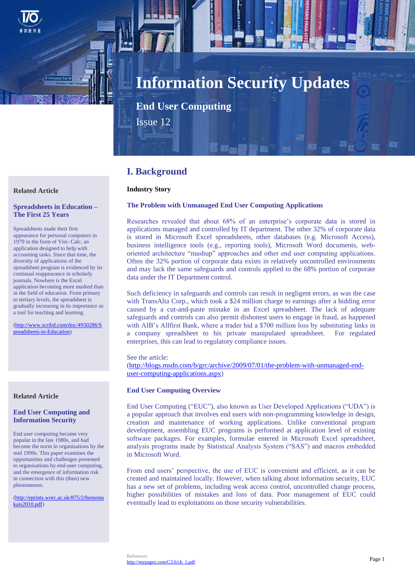

# **Information Security Updates**

**End User Computing**

Issue 12

# **I. Background**

# **Industry Story**

# **The Problem with Unmanaged End User Computing Applications**

Researches revealed that about 68% of an enterprise's corporate data is stored in applications managed and controlled by IT department. The other 32% of corporate data is stored in Microsoft Excel spreadsheets, other databases (e.g. Microsoft Access), business intelligence tools (e.g., reporting tools), Microsoft Word documents, weboriented architecture "mashup" approaches and other end user computing applications. Often the 32% portion of corporate data exists in relatively uncontrolled environments and may lack the same safeguards and controls applied to the 68% portion of corporate data under the IT Department control.

Such deficiency in safeguards and controls can result in negligent errors, as was the case with TransAlta Corp., which took a \$24 million charge to earnings after a bidding error caused by a cut-and-paste mistake in an Excel spreadsheet. The lack of adequate safeguards and controls can also permit dishonest users to engage in fraud, as happened with AIB's Allfirst Bank, where a trader hid a \$700 million loss by substituting links in a company spreadsheet to his private manipulated spreadsheet. For regulated enterprises, this can lead to regulatory compliance issues.

See the article: [\(http://blogs.msdn.com/b/grc/archive/2009/07/01/the-problem-with-unmanaged-end](http://blogs.msdn.com/b/grc/archive/2009/07/01/the-problem-with-unmanaged-end-user-computing-applications.aspx)[user-computing-applications.aspx\)](http://blogs.msdn.com/b/grc/archive/2009/07/01/the-problem-with-unmanaged-end-user-computing-applications.aspx)

# **End User Computing Overview**

End User Computing ("EUC"), also known as User Developed Applications ("UDA") is a popular approach that involves end users with non-programming knowledge in design, creation and maintenance of working applications. Unlike conventional program development, assembling EUC programs is performed at application level of existing software packages. For examples, formulae entered in Microsoft Excel spreadsheet, analysis programs made by Statistical Analysis System ("SAS") and macros embedded in Microsoft Word.

From end users' perspective, the use of EUC is convenient and efficient, as it can be created and maintained locally. However, when talking about information security, EUC has a new set of problems, including weak access control, uncontrolled change process, higher possibilities of mistakes and loss of data. Poor management of EUC could eventually lead to exploitations on those security vulnerabilities.

## **Related Article**

## **Spreadsheets in Education – The First 25 Years**

Spreadsheets made their first appearance for personal computers in 1979 in the form of Visi- Calc, an application designed to help with accounting tasks. Since that time, the diversity of applications of the spreadsheet program is evidenced by its continual reappearance in scholarly journals. Nowhere is the Excel application becoming more marked than in the field of education. From primary to tertiary levels, the spreadsheet is gradually increasing in its importance as a tool for teaching and learning.

[\(http://www.scribd.com/doc/4950286/S](http://www.scribd.com/doc/4950286/Spreadsheets-in-Education) [preadsheets-in-Education\)](http://www.scribd.com/doc/4950286/Spreadsheets-in-Education)

# **Related Article**

## **End User Computing and Information Security**

End user computing became very popular in the late 1980s, and had become the norm in organisations by the mid 1990s. This paper examines the opportunities and challenges presented to organisations by end-user computing, and the emergence of information risk in connection with this (then) new phenomenon.

[\(http://eprints.worc.ac.uk/875/2/hensonu](http://eprints.worc.ac.uk/875/2/hensonukais2010.pdf) [kais2010.pdf\)](http://eprints.worc.ac.uk/875/2/hensonukais2010.pdf)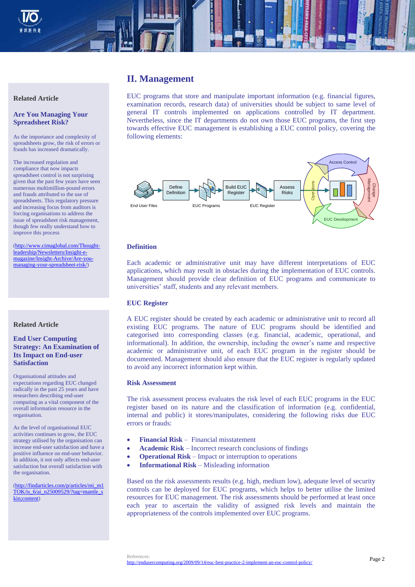

# **II. Management**

EUC programs that store and manipulate important information (e.g. financial figures, examination records, research data) of universities should be subject to same level of general IT controls implemented on applications controlled by IT department. Nevertheless, since the IT departments do not own those EUC programs, the first step towards effective EUC management is establishing a EUC control policy, covering the following elements:



# **Definition**

Each academic or administrative unit may have different interpretations of EUC applications, which may result in obstacles during the implementation of EUC controls. Management should provide clear definition of EUC programs and communicate to universities' staff, students and any relevant members.

# **EUC Register**

A EUC register should be created by each academic or administrative unit to record all existing EUC programs. The nature of EUC programs should be identified and categorised into corresponding classes (e.g. financial, academic, operational, and informational). In addition, the ownership, including the owner's name and respective academic or administrative unit, of each EUC program in the register should be documented. Management should also ensure that the EUC register is regularly updated to avoid any incorrect information kept within.

#### **Risk Assessment**

The risk assessment process evaluates the risk level of each EUC programs in the EUC register based on its nature and the classification of information (e.g. confidential, internal and public) it stores/manipulates, considering the following risks due EUC errors or frauds:

- **Financial Risk** Financial misstatement
- **Academic Risk** Incorrect research conclusions of findings
- **Operational Risk** Impact or interruption to operations
- **Informational Risk** Misleading information

Based on the risk assessments results (e.g. high, medium low), adequate level of security controls can be deployed for EUC programs, which helps to better utilise the limited resources for EUC management. The risk assessments should be performed at least once each year to ascertain the validity of assigned risk levels and maintain the appropriateness of the controls implemented over EUC programs.

#### **Related Article**

# **Are You Managing Your Spreadsheet Risk?**

As the importance and complexity of spreadsheets grow, the risk of errors or frauds has increased dramatically.

The increased regulation and compliance that now impacts spreadsheet control is not surprising given that the past few years have seen numerous multimillion-pound errors and frauds attributed to the use of spreadsheets. This regulatory pressure and increasing focus from auditors is forcing organisations to address the issue of spreadsheet risk management, though few really understand how to improve this process

[\(http://www.cimaglobal.com/Thought](http://www.cimaglobal.com/Thought-leadership/Newsletters/Insight-e-magazine/Insight-Archive/Are-you-managing-your-spreadsheet-risk/)[leadership/Newsletters/Insight-e](http://www.cimaglobal.com/Thought-leadership/Newsletters/Insight-e-magazine/Insight-Archive/Are-you-managing-your-spreadsheet-risk/)[magazine/Insight-Archive/Are-you](http://www.cimaglobal.com/Thought-leadership/Newsletters/Insight-e-magazine/Insight-Archive/Are-you-managing-your-spreadsheet-risk/)[managing-your-spreadsheet-risk/\)](http://www.cimaglobal.com/Thought-leadership/Newsletters/Insight-e-magazine/Insight-Archive/Are-you-managing-your-spreadsheet-risk/)

# **Related Article**

**End User Computing Strategy: An Examination of Its Impact on End-user Satisfaction**

Organisational attitudes and expectations regarding EUC changed radically in the past 25 years and have researchers describing end-user computing as a vital component of the overall information resource in the organisation.

As the level of organisational EUC activities continues to grow, the EUC strategy utilised by the organisation can increase end-user satisfaction and have a positive influence on end-user behavior. In addition, it not only affects end-user satisfaction but overall satisfaction with the organisation.

[\(http://findarticles.com/p/articles/mi\\_m1](http://findarticles.com/p/articles/mi_m1TOK/is_6/ai_n25009529/?tag=mantle_skin;content) [TOK/is\\_6/ai\\_n25009529/?tag=mantle\\_s](http://findarticles.com/p/articles/mi_m1TOK/is_6/ai_n25009529/?tag=mantle_skin;content) [kin;content\)](http://findarticles.com/p/articles/mi_m1TOK/is_6/ai_n25009529/?tag=mantle_skin;content)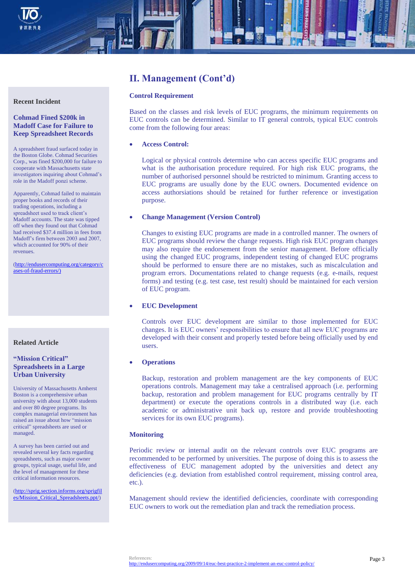

# **II. Management (Cont'd)**

# **Control Requirement**

Based on the classes and risk levels of EUC programs, the minimum requirements on EUC controls can be determined. Similar to IT general controls, typical EUC controls come from the following four areas:

#### **Access Control:**

Logical or physical controls determine who can access specific EUC programs and what is the authorisation procedure required. For high risk EUC programs, the number of authorised personnel should be restricted to minimum. Granting access to EUC programs are usually done by the EUC owners. Documented evidence on access authorsiations should be retained for further reference or investigation purpose.

#### **Change Management (Version Control)**

Changes to existing EUC programs are made in a controlled manner. The owners of EUC programs should review the change requests. High risk EUC program changes may also require the endorsement from the senior management. Before officially using the changed EUC programs, independent testing of changed EUC programs should be performed to ensure there are no mistakes, such as miscalculation and program errors. Documentations related to change requests (e.g. e-mails, request forms) and testing (e.g. test case, test result) should be maintained for each version of EUC program.

#### **EUC Development**

Controls over EUC development are similar to those implemented for EUC changes. It is EUC owners' responsibilities to ensure that all new EUC programs are developed with their consent and properly tested before being officially used by end users.

## **Operations**

Backup, restoration and problem management are the key components of EUC operations controls. Management may take a centralised approach (i.e. performing backup, restoration and problem management for EUC programs centrally by IT department) or execute the operations controls in a distributed way (i.e. each academic or administrative unit back up, restore and provide troubleshooting services for its own EUC programs).

#### **Monitoring**

Periodic review or internal audit on the relevant controls over EUC programs are recommended to be performed by universities. The purpose of doing this is to assess the effectiveness of EUC management adopted by the universities and detect any deficiencies (e.g. deviation from established control requirement, missing control area, etc.).

Management should review the identified deficiencies, coordinate with corresponding EUC owners to work out the remediation plan and track the remediation process.

#### **Recent Incident**

# **Cohmad Fined \$200k in Madoff Case for Failure to Keep Spreadsheet Records**

A spreadsheet fraud surfaced today in the Boston Globe. Cohmad Securities Corp., was fined \$200,000 for failure to cooperate with Massachusetts state investigators inquiring about Cohmad's role in the Madoff ponzi scheme.

Apparently, Cohmad failed to maintain proper books and records of their trading operations, including a spreadsheet used to track client's Madoff accounts. The state was tipped off when they found out that Cohmad had received \$37.4 million in fees from Madoff's firm between 2003 and 2007, which accounted for 90% of their revenues.

[\(http://endusercomputing.org/category/c](http://endusercomputing.org/category/cases-of-fraud-errors/)) [ases-of-fraud-errors/\)](http://endusercomputing.org/category/cases-of-fraud-errors/))

#### **Related Article**

# **"Mission Critical" Spreadsheets in a Large Urban University**

University of Massachusetts Amherst Boston is a comprehensive urban university with about 13,000 students and over 80 degree programs. Its complex managerial environment has raised an issue about how "mission critical" spreadsheets are used or managed.

A survey has been carried out and revealed several key facts regarding spreadsheets, such as major owner groups, typical usage, useful life, and the level of management for these critical information resources.

[\(http://sprig.section.informs.org/sprigfil](http://sprig.section.informs.org/sprigfiles/Mission_Critical_Spreadsheets.ppt/) [es/Mission\\_Critical\\_Spreadsheets.ppt/\)](http://sprig.section.informs.org/sprigfiles/Mission_Critical_Spreadsheets.ppt/)